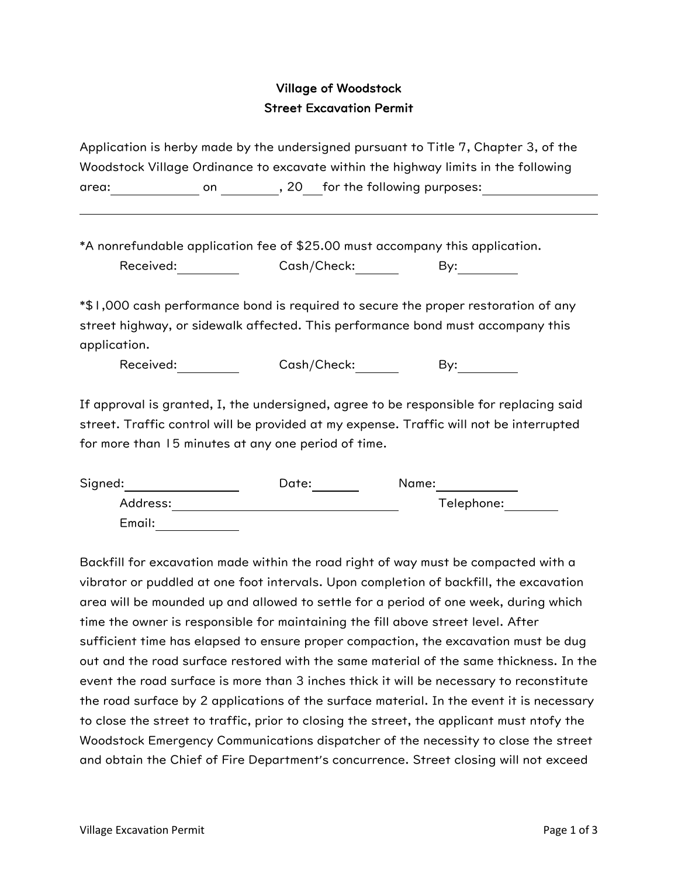## Village of Woodstock Street Excavation Permit

Application is herby made by the undersigned pursuant to Title 7, Chapter 3, of the Woodstock Village Ordinance to excavate within the highway limits in the following area: end on the following purposes:

\*A nonrefundable application fee of \$25.00 must accompany this application. Received: Cash/Check: By:

\*\$1,000 cash performance bond is required to secure the proper restoration of any street highway, or sidewalk affected. This performance bond must accompany this application.

Received: Cash/Check: By:

If approval is granted, I, the undersigned, agree to be responsible for replacing said street. Traffic control will be provided at my expense. Traffic will not be interrupted for more than 15 minutes at any one period of time.

| Signed:  | Date: | Name:      |
|----------|-------|------------|
| Address: |       | Telephone: |
| Email:   |       |            |

Backfill for excavation made within the road right of way must be compacted with a vibrator or puddled at one foot intervals. Upon completion of backfill, the excavation area will be mounded up and allowed to settle for a period of one week, during which time the owner is responsible for maintaining the fill above street level. After sufficient time has elapsed to ensure proper compaction, the excavation must be dug out and the road surface restored with the same material of the same thickness. In the event the road surface is more than 3 inches thick it will be necessary to reconstitute the road surface by 2 applications of the surface material. In the event it is necessary to close the street to traffic, prior to closing the street, the applicant must ntofy the Woodstock Emergency Communications dispatcher of the necessity to close the street and obtain the Chief of Fire Department's concurrence. Street closing will not exceed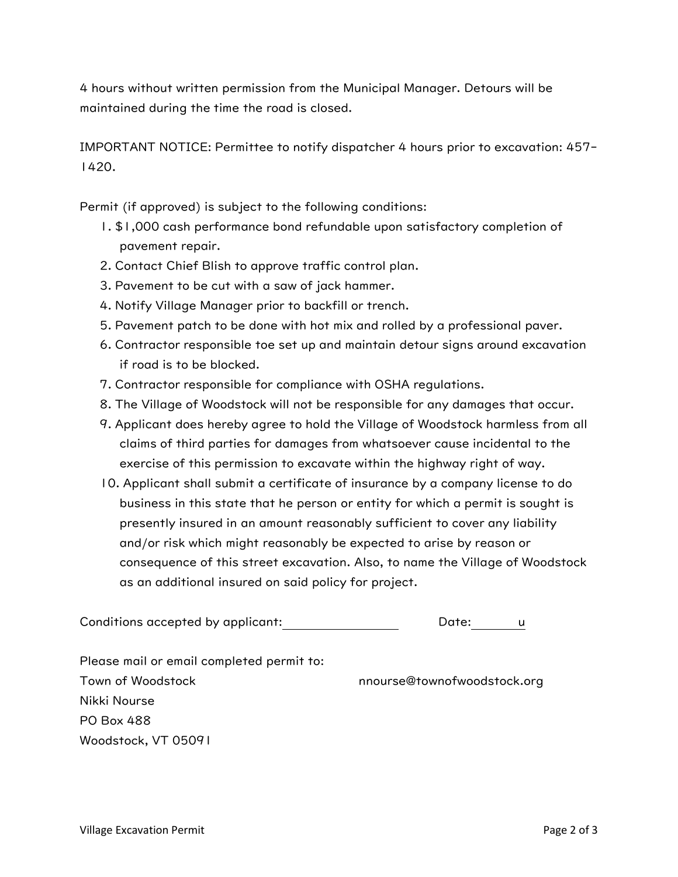4 hours without written permission from the Municipal Manager. Detours will be maintained during the time the road is closed.

IMPORTANT NOTICE: Permittee to notify dispatcher 4 hours prior to excavation: 457- 1420.

Permit (if approved) is subject to the following conditions:

- 1. \$1,000 cash performance bond refundable upon satisfactory completion of pavement repair.
- 2. Contact Chief Blish to approve traffic control plan.
- 3. Pavement to be cut with a saw of jack hammer.
- 4. Notify Village Manager prior to backfill or trench.
- 5. Pavement patch to be done with hot mix and rolled by a professional paver.
- 6. Contractor responsible toe set up and maintain detour signs around excavation if road is to be blocked.
- 7. Contractor responsible for compliance with OSHA regulations.
- 8. The Village of Woodstock will not be responsible for any damages that occur.
- 9. Applicant does hereby agree to hold the Village of Woodstock harmless from all claims of third parties for damages from whatsoever cause incidental to the exercise of this permission to excavate within the highway right of way.
- 10. Applicant shall submit a certificate of insurance by a company license to do business in this state that he person or entity for which a permit is sought is presently insured in an amount reasonably sufficient to cover any liability and/or risk which might reasonably be expected to arise by reason or consequence of this street excavation. Also, to name the Village of Woodstock as an additional insured on said policy for project.

Conditions accepted by applicant: Date: u

Please mail or email completed permit to: Town of Woodstock nnourse@townofwoodstock.org Nikki Nourse PO Box 488 Woodstock, VT 05091